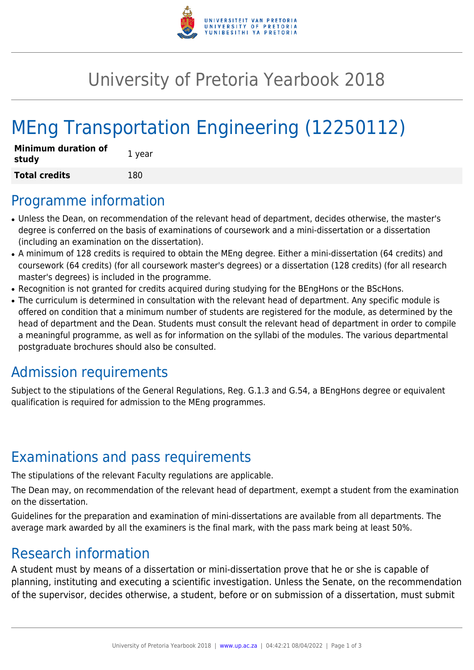

## University of Pretoria Yearbook 2018

# MEng Transportation Engineering (12250112)

| <b>Minimum duration of</b><br>study | 1 year |
|-------------------------------------|--------|
| <b>Total credits</b>                | 180    |

#### Programme information

- Unless the Dean, on recommendation of the relevant head of department, decides otherwise, the master's degree is conferred on the basis of examinations of coursework and a mini-dissertation or a dissertation (including an examination on the dissertation).
- A minimum of 128 credits is required to obtain the MEng degree. Either a mini-dissertation (64 credits) and coursework (64 credits) (for all coursework master's degrees) or a dissertation (128 credits) (for all research master's degrees) is included in the programme.
- Recognition is not granted for credits acquired during studying for the BEngHons or the BScHons.
- The curriculum is determined in consultation with the relevant head of department. Any specific module is offered on condition that a minimum number of students are registered for the module, as determined by the head of department and the Dean. Students must consult the relevant head of department in order to compile a meaningful programme, as well as for information on the syllabi of the modules. The various departmental postgraduate brochures should also be consulted.

### Admission requirements

Subject to the stipulations of the General Regulations, Reg. G.1.3 and G.54, a BEngHons degree or equivalent qualification is required for admission to the MEng programmes.

### Examinations and pass requirements

The stipulations of the relevant Faculty regulations are applicable.

The Dean may, on recommendation of the relevant head of department, exempt a student from the examination on the dissertation.

Guidelines for the preparation and examination of mini-dissertations are available from all departments. The average mark awarded by all the examiners is the final mark, with the pass mark being at least 50%.

### Research information

A student must by means of a dissertation or mini-dissertation prove that he or she is capable of planning, instituting and executing a scientific investigation. Unless the Senate, on the recommendation of the supervisor, decides otherwise, a student, before or on submission of a dissertation, must submit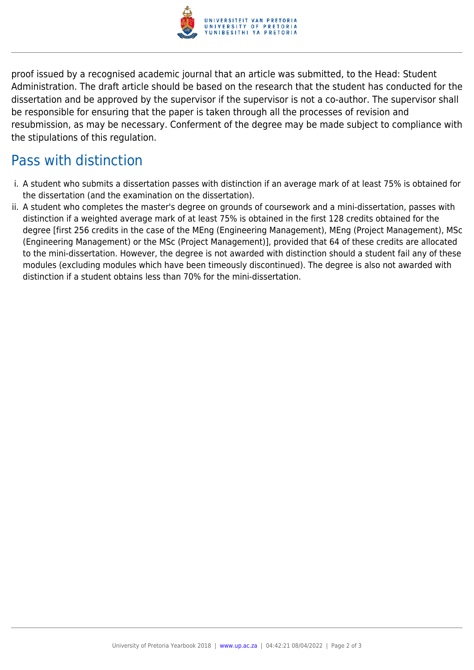

proof issued by a recognised academic journal that an article was submitted, to the Head: Student Administration. The draft article should be based on the research that the student has conducted for the dissertation and be approved by the supervisor if the supervisor is not a co-author. The supervisor shall be responsible for ensuring that the paper is taken through all the processes of revision and resubmission, as may be necessary. Conferment of the degree may be made subject to compliance with the stipulations of this regulation.

## Pass with distinction

- i. A student who submits a dissertation passes with distinction if an average mark of at least 75% is obtained for the dissertation (and the examination on the dissertation).
- ii. A student who completes the master's degree on grounds of coursework and a mini-dissertation, passes with distinction if a weighted average mark of at least 75% is obtained in the first 128 credits obtained for the degree [first 256 credits in the case of the MEng (Engineering Management), MEng (Project Management), MSc (Engineering Management) or the MSc (Project Management)], provided that 64 of these credits are allocated to the mini-dissertation. However, the degree is not awarded with distinction should a student fail any of these modules (excluding modules which have been timeously discontinued). The degree is also not awarded with distinction if a student obtains less than 70% for the mini-dissertation.